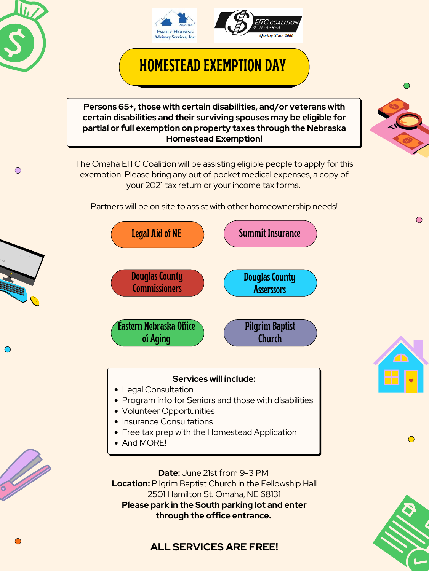



# **HOMESTEAD EXEMPTION DAY**

**Date:** June 21st from 9-3 PM **Location:** Pilgrim Baptist Church in the Fellowship Hall 2501 Hamilton St. Omaha, NE 68131 **Please park in the South parking lot and enter through the office entrance.**

- Legal Consultation
- Program info for Seniors and those with disabilities
- Volunteer Opportunities
- Insurance Consultations
- Free tax prep with the Homestead Application
- And MORE!







 $\bigcirc$ 



 $\bigcirc$ 

 $\mathbf{u}_L$ 



#### **Services will include:**

**Persons 65+ , those with certain disabilities, and/or veterans with certain disabilities and their surviving spouses may be eligible for partial or full exemption on property taxes through the Nebraska Homestead Exemption!**

The Omaha EITC Coalition will be assisting eligible people to apply for this exemption. Please bring any out of pocket medical expenses, a copy of your 2021 tax return or your income tax forms.

Partners will be on site to assist with other homeownership needs!

## **ALL SERVICES ARE FREE!**